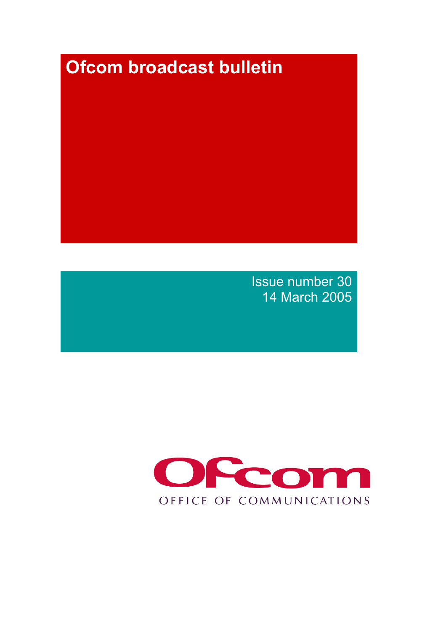# **Ofcom broadcast bulletin**

Issue number 30 14 March 2005

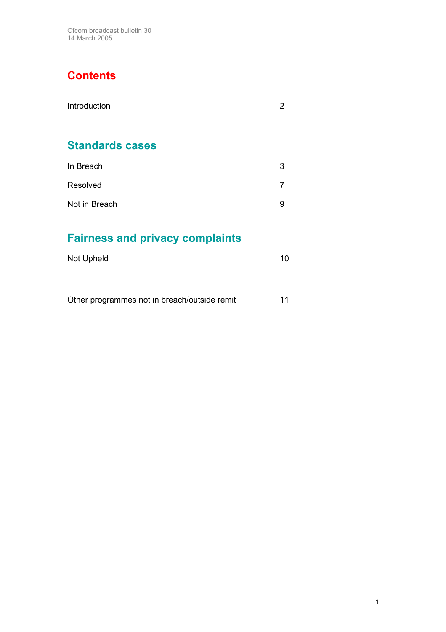# **Contents**

| Introduction           | 2 |
|------------------------|---|
| <b>Standards cases</b> |   |
| In Breach              | 3 |
| Resolved               | 7 |
| Not in Breach          | 9 |

# **Fairness and privacy complaints**

| Not Upheld |  |
|------------|--|
|            |  |

Other programmes not in breach/outside remit 11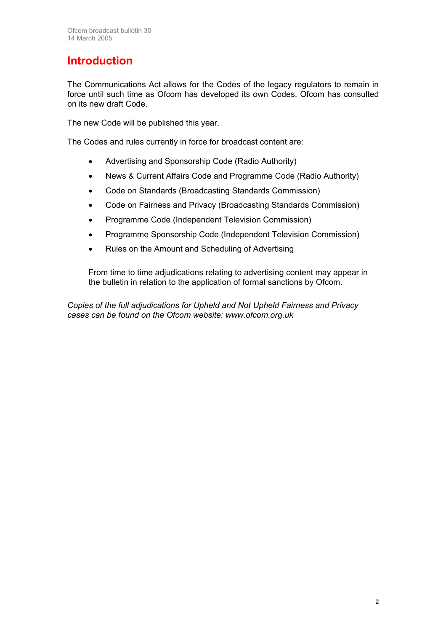# **Introduction**

The Communications Act allows for the Codes of the legacy regulators to remain in force until such time as Ofcom has developed its own Codes. Ofcom has consulted on its new draft Code.

The new Code will be published this year.

The Codes and rules currently in force for broadcast content are:

- Advertising and Sponsorship Code (Radio Authority)
- News & Current Affairs Code and Programme Code (Radio Authority)
- Code on Standards (Broadcasting Standards Commission)
- Code on Fairness and Privacy (Broadcasting Standards Commission)
- Programme Code (Independent Television Commission)
- Programme Sponsorship Code (Independent Television Commission)
- Rules on the Amount and Scheduling of Advertising

From time to time adjudications relating to advertising content may appear in the bulletin in relation to the application of formal sanctions by Ofcom.

*Copies of the full adjudications for Upheld and Not Upheld Fairness and Privacy cases can be found on the Ofcom website: www.ofcom.org.uk*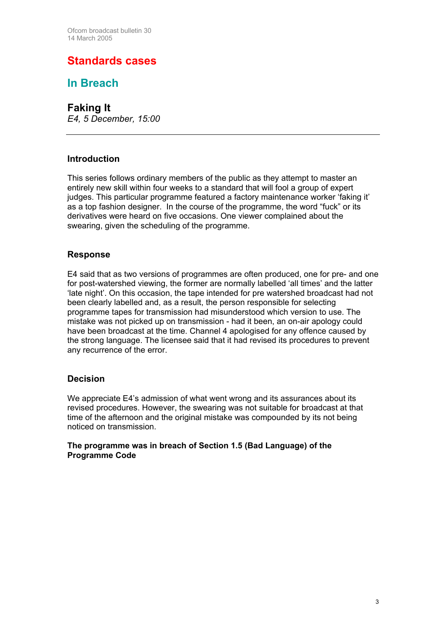### **Standards cases**

**In Breach** 

**Faking It**  *E4, 5 December, 15:00*

### **Introduction**

This series follows ordinary members of the public as they attempt to master an entirely new skill within four weeks to a standard that will fool a group of expert judges. This particular programme featured a factory maintenance worker 'faking it' as a top fashion designer. In the course of the programme, the word "fuck" or its derivatives were heard on five occasions. One viewer complained about the swearing, given the scheduling of the programme.

### **Response**

E4 said that as two versions of programmes are often produced, one for pre- and one for post-watershed viewing, the former are normally labelled 'all times' and the latter 'late night'. On this occasion, the tape intended for pre watershed broadcast had not been clearly labelled and, as a result, the person responsible for selecting programme tapes for transmission had misunderstood which version to use. The mistake was not picked up on transmission - had it been, an on-air apology could have been broadcast at the time. Channel 4 apologised for any offence caused by the strong language. The licensee said that it had revised its procedures to prevent any recurrence of the error.

### **Decision**

We appreciate E4's admission of what went wrong and its assurances about its revised procedures. However, the swearing was not suitable for broadcast at that time of the afternoon and the original mistake was compounded by its not being noticed on transmission.

#### **The programme was in breach of Section 1.5 (Bad Language) of the Programme Code**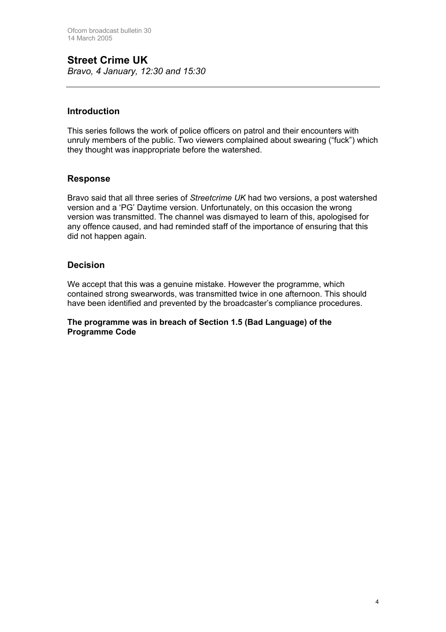### **Street Crime UK**

*Bravo, 4 January, 12:30 and 15:30*

### **Introduction**

This series follows the work of police officers on patrol and their encounters with unruly members of the public. Two viewers complained about swearing ("fuck") which they thought was inappropriate before the watershed.

### **Response**

Bravo said that all three series of *Streetcrime UK* had two versions, a post watershed version and a 'PG' Daytime version. Unfortunately, on this occasion the wrong version was transmitted. The channel was dismayed to learn of this, apologised for any offence caused, and had reminded staff of the importance of ensuring that this did not happen again.

### **Decision**

We accept that this was a genuine mistake. However the programme, which contained strong swearwords, was transmitted twice in one afternoon. This should have been identified and prevented by the broadcaster's compliance procedures.

#### **The programme was in breach of Section 1.5 (Bad Language) of the Programme Code**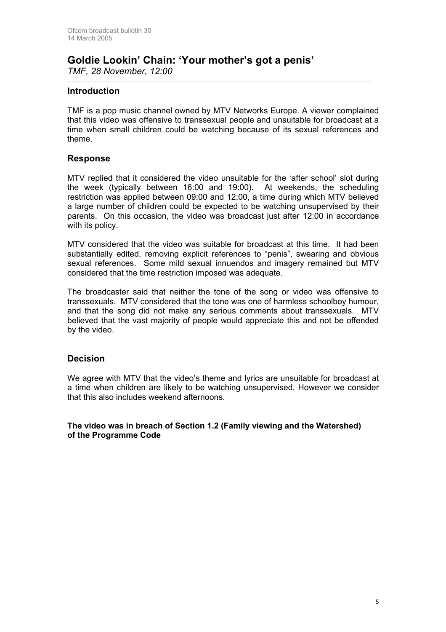### **Goldie Lookin' Chain: 'Your mother's got a penis'**  *TMF, 28 November, 12:00*

**Introduction** 

TMF is a pop music channel owned by MTV Networks Europe. A viewer complained that this video was offensive to transsexual people and unsuitable for broadcast at a time when small children could be watching because of its sexual references and theme.

#### **Response**

MTV replied that it considered the video unsuitable for the 'after school' slot during the week (typically between 16:00 and 19:00). At weekends, the scheduling restriction was applied between 09:00 and 12:00, a time during which MTV believed a large number of children could be expected to be watching unsupervised by their parents. On this occasion, the video was broadcast just after 12:00 in accordance with its policy.

MTV considered that the video was suitable for broadcast at this time. It had been substantially edited, removing explicit references to "penis", swearing and obvious sexual references. Some mild sexual innuendos and imagery remained but MTV considered that the time restriction imposed was adequate.

The broadcaster said that neither the tone of the song or video was offensive to transsexuals. MTV considered that the tone was one of harmless schoolboy humour, and that the song did not make any serious comments about transsexuals. MTV believed that the vast majority of people would appreciate this and not be offended by the video.

### **Decision**

We agree with MTV that the video's theme and lyrics are unsuitable for broadcast at a time when children are likely to be watching unsupervised. However we consider that this also includes weekend afternoons.

**The video was in breach of Section 1.2 (Family viewing and the Watershed) of the Programme Code**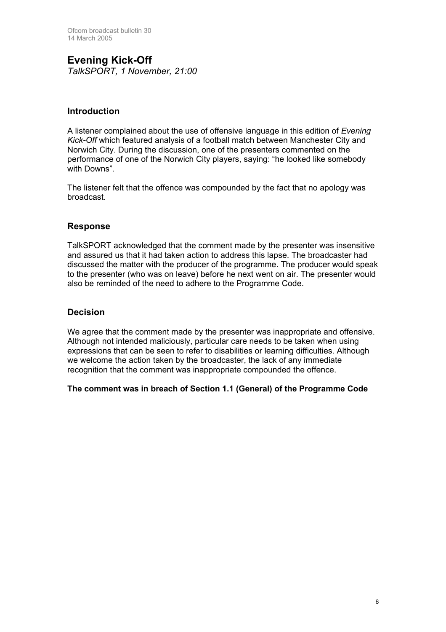**Evening Kick-Off**  *TalkSPORT, 1 November, 21:00* 

### **Introduction**

A listener complained about the use of offensive language in this edition of *Evening Kick-Off* which featured analysis of a football match between Manchester City and Norwich City. During the discussion, one of the presenters commented on the performance of one of the Norwich City players, saying: "he looked like somebody with Downs".

The listener felt that the offence was compounded by the fact that no apology was broadcast.

#### **Response**

TalkSPORT acknowledged that the comment made by the presenter was insensitive and assured us that it had taken action to address this lapse. The broadcaster had discussed the matter with the producer of the programme. The producer would speak to the presenter (who was on leave) before he next went on air. The presenter would also be reminded of the need to adhere to the Programme Code.

### **Decision**

We agree that the comment made by the presenter was inappropriate and offensive. Although not intended maliciously, particular care needs to be taken when using expressions that can be seen to refer to disabilities or learning difficulties. Although we welcome the action taken by the broadcaster, the lack of any immediate recognition that the comment was inappropriate compounded the offence.

#### **The comment was in breach of Section 1.1 (General) of the Programme Code**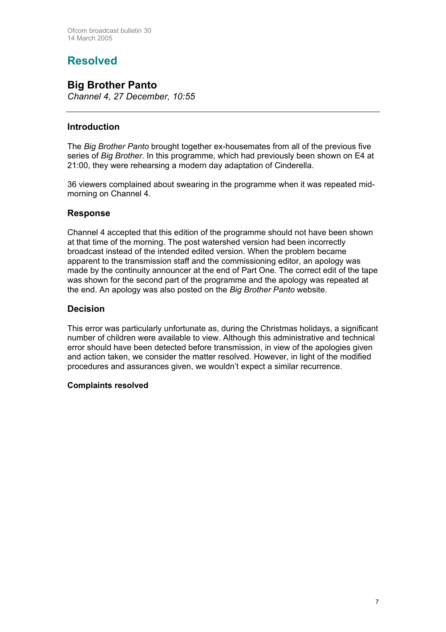### **Resolved**

### **Big Brother Panto**

*Channel 4, 27 December, 10:55*

### **Introduction**

The *Big Brother Panto* brought together ex-housemates from all of the previous five series of *Big Brother*. In this programme, which had previously been shown on E4 at 21:00, they were rehearsing a modern day adaptation of Cinderella.

36 viewers complained about swearing in the programme when it was repeated midmorning on Channel 4.

### **Response**

Channel 4 accepted that this edition of the programme should not have been shown at that time of the morning. The post watershed version had been incorrectly broadcast instead of the intended edited version. When the problem became apparent to the transmission staff and the commissioning editor, an apology was made by the continuity announcer at the end of Part One. The correct edit of the tape was shown for the second part of the programme and the apology was repeated at the end. An apology was also posted on the *Big Brother Panto* website.

### **Decision**

This error was particularly unfortunate as, during the Christmas holidays, a significant number of children were available to view. Although this administrative and technical error should have been detected before transmission, in view of the apologies given and action taken, we consider the matter resolved. However, in light of the modified procedures and assurances given, we wouldn't expect a similar recurrence.

#### **Complaints resolved**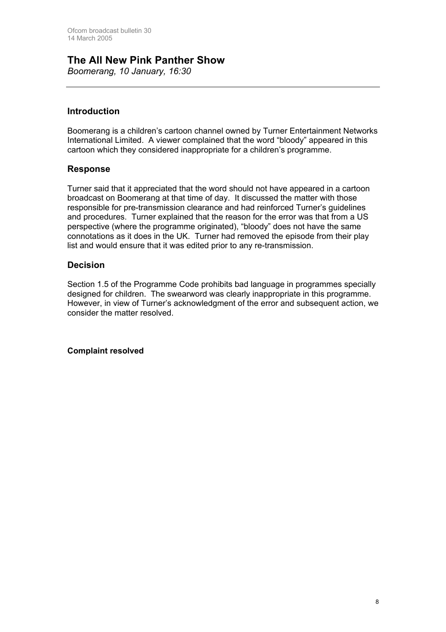### **The All New Pink Panther Show**

*Boomerang, 10 January, 16:30*

### **Introduction**

Boomerang is a children's cartoon channel owned by Turner Entertainment Networks International Limited. A viewer complained that the word "bloody" appeared in this cartoon which they considered inappropriate for a children's programme.

#### **Response**

Turner said that it appreciated that the word should not have appeared in a cartoon broadcast on Boomerang at that time of day. It discussed the matter with those responsible for pre-transmission clearance and had reinforced Turner's guidelines and procedures. Turner explained that the reason for the error was that from a US perspective (where the programme originated), "bloody" does not have the same connotations as it does in the UK. Turner had removed the episode from their play list and would ensure that it was edited prior to any re-transmission.

#### **Decision**

Section 1.5 of the Programme Code prohibits bad language in programmes specially designed for children. The swearword was clearly inappropriate in this programme. However, in view of Turner's acknowledgment of the error and subsequent action, we consider the matter resolved.

**Complaint resolved**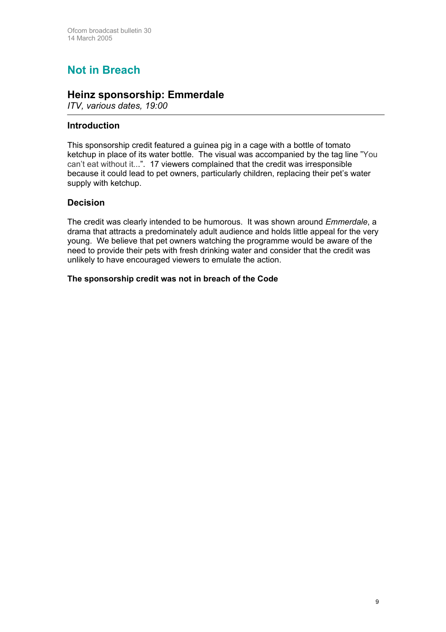# **Not in Breach**

### **Heinz sponsorship: Emmerdale**

*ITV, various dates, 19:00* 

#### **Introduction**

This sponsorship credit featured a guinea pig in a cage with a bottle of tomato ketchup in place of its water bottle. The visual was accompanied by the tag line "You can't eat without it...". 17 viewers complained that the credit was irresponsible because it could lead to pet owners, particularly children, replacing their pet's water supply with ketchup.

#### **Decision**

The credit was clearly intended to be humorous. It was shown around *Emmerdale*, a drama that attracts a predominately adult audience and holds little appeal for the very young. We believe that pet owners watching the programme would be aware of the need to provide their pets with fresh drinking water and consider that the credit was unlikely to have encouraged viewers to emulate the action.

#### **The sponsorship credit was not in breach of the Code**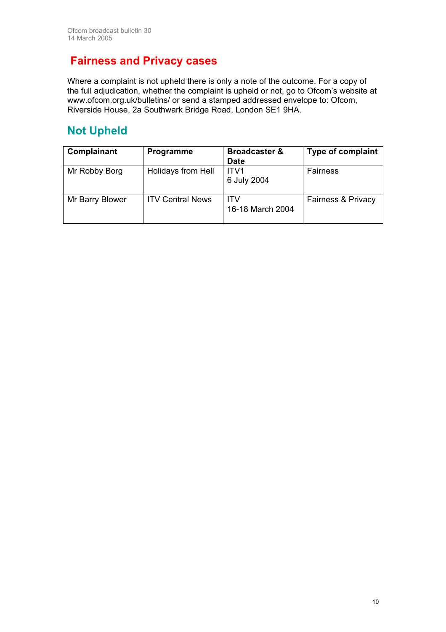### **Fairness and Privacy cases**

Where a complaint is not upheld there is only a note of the outcome. For a copy of the full adjudication, whether the complaint is upheld or not, go to Ofcom's website at [www.ofcom.org.uk/bulletins/](http://www.ofcom.org.uk/bulletins/) or send a stamped addressed envelope to: Ofcom, Riverside House, 2a Southwark Bridge Road, London SE1 9HA.

### **Not Upheld**

| Complainant     | <b>Programme</b>        | <b>Broadcaster &amp;</b><br><b>Date</b> | <b>Type of complaint</b> |
|-----------------|-------------------------|-----------------------------------------|--------------------------|
| Mr Robby Borg   | Holidays from Hell      | ITV1<br>6 July 2004                     | Fairness                 |
| Mr Barry Blower | <b>ITV Central News</b> | ITV<br>16-18 March 2004                 | Fairness & Privacy       |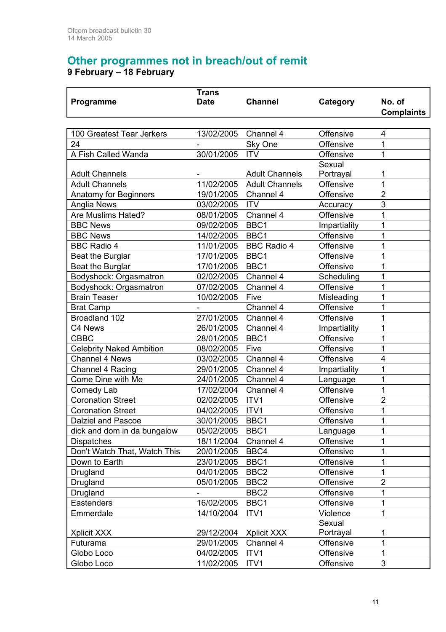# **Other programmes not in breach/out of remit**

**9 February – 18 February** 

|                                 | <b>Trans</b> |                       |              |                   |
|---------------------------------|--------------|-----------------------|--------------|-------------------|
| Programme                       | <b>Date</b>  | <b>Channel</b>        | Category     | No. of            |
|                                 |              |                       |              | <b>Complaints</b> |
|                                 |              |                       |              |                   |
| 100 Greatest Tear Jerkers       | 13/02/2005   | Channel 4             | Offensive    | 4                 |
| 24                              |              | Sky One               | Offensive    | 1                 |
| A Fish Called Wanda             | 30/01/2005   | <b>ITV</b>            | Offensive    | 1                 |
|                                 |              |                       | Sexual       |                   |
| <b>Adult Channels</b>           |              | <b>Adult Channels</b> | Portrayal    | 1                 |
| <b>Adult Channels</b>           | 11/02/2005   | <b>Adult Channels</b> | Offensive    | 1                 |
| Anatomy for Beginners           | 19/01/2005   | Channel 4             | Offensive    | $\overline{2}$    |
| Anglia News                     | 03/02/2005   | <b>ITV</b>            | Accuracy     | 3                 |
| Are Muslims Hated?              | 08/01/2005   | Channel 4             | Offensive    | 1                 |
| <b>BBC News</b>                 | 09/02/2005   | BBC1                  | Impartiality | 1                 |
| <b>BBC News</b>                 | 14/02/2005   | BBC1                  | Offensive    | 1                 |
| <b>BBC Radio 4</b>              | 11/01/2005   | <b>BBC Radio 4</b>    | Offensive    | 1                 |
| Beat the Burglar                | 17/01/2005   | BBC1                  | Offensive    | 1                 |
| Beat the Burglar                | 17/01/2005   | BBC1                  | Offensive    | 1                 |
| Bodyshock: Orgasmatron          | 02/02/2005   | Channel 4             | Scheduling   | 1                 |
| Bodyshock: Orgasmatron          | 07/02/2005   | Channel 4             | Offensive    | 1                 |
| <b>Brain Teaser</b>             | 10/02/2005   | Five                  | Misleading   | 1                 |
| <b>Brat Camp</b>                |              | Channel 4             | Offensive    | 1                 |
| Broadland 102                   | 27/01/2005   | Channel 4             | Offensive    | 1                 |
| C4 News                         | 26/01/2005   | Channel 4             | Impartiality | 1                 |
| <b>CBBC</b>                     | 28/01/2005   | BBC1                  | Offensive    | 1                 |
| <b>Celebrity Naked Ambition</b> | 08/02/2005   | Five                  | Offensive    | 1                 |
| <b>Channel 4 News</b>           | 03/02/2005   | Channel 4             | Offensive    | $\overline{4}$    |
| Channel 4 Racing                | 29/01/2005   | Channel 4             | Impartiality | 1                 |
| Come Dine with Me               | 24/01/2005   | Channel 4             | Language     | 1                 |
| Comedy Lab                      | 17/02/2004   | Channel 4             | Offensive    | 1                 |
| <b>Coronation Street</b>        | 02/02/2005   | ITV1                  | Offensive    | $\overline{2}$    |
| <b>Coronation Street</b>        | 04/02/2005   | ITV1                  | Offensive    | 1                 |
| <b>Dalziel and Pascoe</b>       | 30/01/2005   | BBC1                  | Offensive    | 1                 |
| dick and dom in da bungalow     | 05/02/2005   | BBC1                  | Language     | 1                 |
| <b>Dispatches</b>               | 18/11/2004   | Channel 4             | Offensive    | 1                 |
| Don't Watch That, Watch This    | 20/01/2005   | BBC4                  | Offensive    | 1                 |
| Down to Earth                   | 23/01/2005   | BBC1                  | Offensive    | 1                 |
| Drugland                        | 04/01/2005   | BBC <sub>2</sub>      | Offensive    | 1                 |
| Drugland                        | 05/01/2005   | BBC <sub>2</sub>      | Offensive    | $\overline{2}$    |
| Drugland                        |              | BBC <sub>2</sub>      | Offensive    | 1                 |
| Eastenders                      | 16/02/2005   | BBC1                  | Offensive    | 1                 |
| Emmerdale                       | 14/10/2004   | ITV1                  | Violence     | 1                 |
|                                 |              |                       | Sexual       |                   |
| Xplicit XXX                     | 29/12/2004   | Xplicit XXX           | Portrayal    | 1                 |
| Futurama                        | 29/01/2005   | Channel 4             | Offensive    | 1                 |
| Globo Loco                      | 04/02/2005   | ITV1                  | Offensive    | 1                 |
| Globo Loco                      | 11/02/2005   | ITV1                  | Offensive    | 3                 |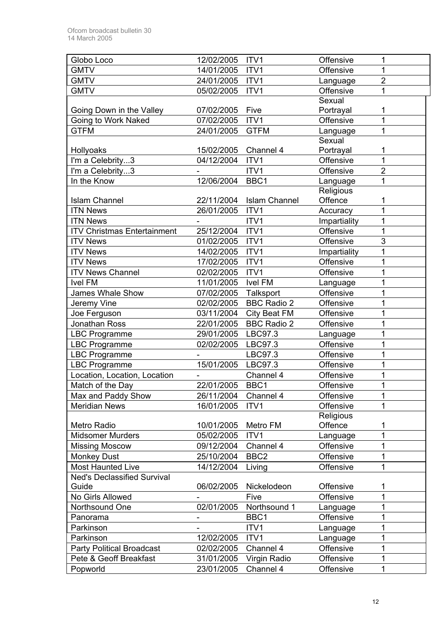| Globo Loco                         | 12/02/2005 | ITV1                 | Offensive    | 1              |
|------------------------------------|------------|----------------------|--------------|----------------|
| <b>GMTV</b>                        | 14/01/2005 | ITV1                 | Offensive    | 1              |
| <b>GMTV</b>                        | 24/01/2005 | ITV1                 | Language     | $\overline{2}$ |
| <b>GMTV</b>                        | 05/02/2005 | ITV1                 | Offensive    | 1              |
|                                    |            |                      | Sexual       |                |
| Going Down in the Valley           | 07/02/2005 | Five                 | Portrayal    | 1              |
| Going to Work Naked                | 07/02/2005 | ITV1                 | Offensive    | 1              |
| <b>GTFM</b>                        | 24/01/2005 | <b>GTFM</b>          | Language     | 1              |
|                                    |            |                      | Sexual       |                |
| Hollyoaks                          | 15/02/2005 | Channel 4            | Portrayal    | 1              |
| I'm a Celebrity3                   | 04/12/2004 | ITV1                 | Offensive    | 1              |
| I'm a Celebrity3                   |            | ITV1                 | Offensive    | $\overline{2}$ |
| In the Know                        | 12/06/2004 | BBC1                 | Language     | 1              |
|                                    |            |                      | Religious    |                |
| <b>Islam Channel</b>               | 22/11/2004 | <b>Islam Channel</b> | Offence      | 1              |
| <b>ITN News</b>                    | 26/01/2005 | ITV1                 | Accuracy     | 1              |
| <b>ITN News</b>                    |            | ITV1                 | Impartiality | 1              |
| <b>ITV Christmas Entertainment</b> | 25/12/2004 | ITV1                 | Offensive    | 1              |
| <b>ITV News</b>                    | 01/02/2005 | ITV1                 | Offensive    | $\overline{3}$ |
| <b>ITV News</b>                    | 14/02/2005 | ITV1                 | Impartiality | 1              |
| <b>ITV News</b>                    | 17/02/2005 | ITV1                 | Offensive    | 1              |
| <b>ITV News Channel</b>            | 02/02/2005 | ITV1                 | Offensive    | 1              |
| <b>Ivel FM</b>                     | 11/01/2005 | Ivel FM              | Language     | 1              |
| <b>James Whale Show</b>            | 07/02/2005 | Talksport            | Offensive    | 1              |
| Jeremy Vine                        | 02/02/2005 | <b>BBC Radio 2</b>   | Offensive    | 1              |
| Joe Ferguson                       | 03/11/2004 | City Beat FM         | Offensive    | 1              |
| Jonathan Ross                      | 22/01/2005 | <b>BBC Radio 2</b>   | Offensive    | 1              |
| <b>LBC Programme</b>               | 29/01/2005 | LBC97.3              | Language     | 1              |
| <b>LBC Programme</b>               | 02/02/2005 | LBC97.3              | Offensive    | 1              |
| <b>LBC Programme</b>               |            | LBC97.3              | Offensive    | 1              |
| <b>LBC Programme</b>               | 15/01/2005 | LBC97.3              | Offensive    | 1              |
| Location, Location, Location       |            | Channel 4            | Offensive    | 1              |
| Match of the Day                   | 22/01/2005 | BBC1                 | Offensive    | 1              |
| Max and Paddy Show                 | 26/11/2004 | Channel 4            | Offensive    | 1              |
| <b>Meridian News</b>               | 16/01/2005 | ITV1                 | Offensive    |                |
|                                    |            |                      | Religious    |                |
| Metro Radio                        | 10/01/2005 | Metro FM             | Offence      | 1              |
| <b>Midsomer Murders</b>            | 05/02/2005 | ITV1                 | Language     | 1              |
| <b>Missing Moscow</b>              | 09/12/2004 | Channel 4            | Offensive    | 1              |
| <b>Monkey Dust</b>                 | 25/10/2004 | BBC <sub>2</sub>     | Offensive    | 1              |
| <b>Most Haunted Live</b>           | 14/12/2004 | Living               | Offensive    | 1              |
| <b>Ned's Declassified Survival</b> |            |                      |              |                |
| Guide                              | 06/02/2005 | Nickelodeon          | Offensive    | 1              |
| No Girls Allowed                   |            | Five                 | Offensive    | 1              |
| Northsound One                     | 02/01/2005 | Northsound 1         | Language     | 1<br>1         |
| Panorama                           | -          | BBC1                 | Offensive    |                |
| Parkinson                          |            | ITV1                 | Language     | 1              |
| Parkinson                          | 12/02/2005 | ITV1                 | Language     | 1              |
| <b>Party Political Broadcast</b>   | 02/02/2005 | Channel 4            | Offensive    | 1              |
| Pete & Geoff Breakfast             | 31/01/2005 | Virgin Radio         | Offensive    | 1              |
| Popworld                           | 23/01/2005 | Channel 4            | Offensive    | 1              |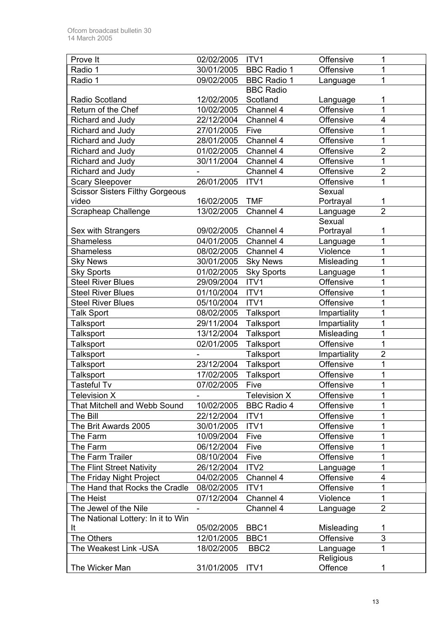| Prove It                                                   | 02/02/2005               | ITV1               | Offensive             | 1              |
|------------------------------------------------------------|--------------------------|--------------------|-----------------------|----------------|
| Radio 1                                                    | 30/01/2005               | <b>BBC Radio 1</b> | Offensive             | 1              |
| Radio 1                                                    | 09/02/2005               | <b>BBC Radio 1</b> | Language              | 1              |
|                                                            |                          | <b>BBC</b> Radio   |                       |                |
| Radio Scotland                                             | 12/02/2005               | Scotland           | Language              | 1              |
| Return of the Chef                                         | 10/02/2005               | Channel 4          | Offensive             | 1              |
| Richard and Judy                                           | 22/12/2004               | Channel 4          | Offensive             | 4              |
| Richard and Judy                                           | 27/01/2005               | Five               | Offensive             | 1              |
| Richard and Judy                                           | 28/01/2005               | Channel 4          | Offensive             | 1              |
| Richard and Judy                                           | 01/02/2005               | Channel 4          | Offensive             | 2              |
| Richard and Judy                                           | 30/11/2004               | Channel 4          | Offensive             | $\overline{1}$ |
| Richard and Judy                                           |                          | Channel 4          | Offensive             | $\overline{2}$ |
| <b>Scary Sleepover</b>                                     | 26/01/2005               | ITV1               | Offensive             | 1              |
| <b>Scissor Sisters Filthy Gorgeous</b>                     |                          |                    | Sexual                |                |
| video                                                      | 16/02/2005               | <b>TMF</b>         | Portrayal             | 1              |
| <b>Scrapheap Challenge</b>                                 | 13/02/2005               | Channel 4          | Language              | $\overline{2}$ |
|                                                            |                          |                    | Sexual                |                |
| Sex with Strangers                                         | 09/02/2005               | Channel 4          | Portrayal             | 1              |
| <b>Shameless</b>                                           | 04/01/2005               | Channel 4          | Language              | 1              |
| <b>Shameless</b>                                           | 08/02/2005               | Channel 4          | Violence              | 1              |
| <b>Sky News</b>                                            | 30/01/2005               | <b>Sky News</b>    | Misleading            | 1              |
| <b>Sky Sports</b>                                          | 01/02/2005               | <b>Sky Sports</b>  | Language              | 1              |
| <b>Steel River Blues</b>                                   | 29/09/2004               | ITV1               | Offensive             | 1              |
| <b>Steel River Blues</b>                                   | 01/10/2004               | ITV1               | Offensive             | 1              |
| <b>Steel River Blues</b>                                   | 05/10/2004               | ITV1               | Offensive             | 1              |
| <b>Talk Sport</b>                                          | 08/02/2005               | Talksport          | Impartiality          | 1              |
| <b>Talksport</b>                                           | 29/11/2004               | Talksport          | Impartiality          | 1              |
| <b>Talksport</b>                                           | 13/12/2004               | Talksport          | Misleading            | 1              |
| <b>Talksport</b>                                           | 02/01/2005               | Talksport          | Offensive             | 1              |
| Talksport                                                  |                          | <b>Talksport</b>   | Impartiality          | $\overline{2}$ |
| Talksport                                                  | 23/12/2004               | Talksport          | Offensive             | 1              |
| <b>Talksport</b>                                           | 17/02/2005               | Talksport          | Offensive             | 1              |
| <b>Tasteful Tv</b>                                         | 07/02/2005               | Five               | Offensive             | 1              |
| <b>Television X</b>                                        |                          | Television X       | Offensive             | 1              |
| <b>That Mitchell and Webb Sound</b>                        | 10/02/2005               | <b>BBC Radio 4</b> | Offensive             | 1              |
| The Bill                                                   | 22/12/2004               | ITV <sub>1</sub>   | Offensive             | 1              |
| The Brit Awards 2005                                       | 30/01/2005               | ITV1               | Offensive             | 1              |
| The Farm                                                   | 10/09/2004               | Five               | Offensive             | 1              |
| The Farm                                                   | 06/12/2004               | Five               | Offensive             | 1              |
| The Farm Trailer                                           | 08/10/2004               | Five               | Offensive             | 1              |
| The Flint Street Nativity                                  | 26/12/2004               | ITV <sub>2</sub>   |                       | 1              |
|                                                            |                          | Channel 4          | Language<br>Offensive | 4              |
| The Friday Night Project<br>The Hand that Rocks the Cradle | 04/02/2005<br>08/02/2005 | ITV1               | Offensive             | 1              |
|                                                            |                          |                    |                       |                |
| The Heist                                                  | 07/12/2004               | Channel 4          | Violence              | 1              |
| The Jewel of the Nile                                      |                          | Channel 4          | Language              | $\overline{2}$ |
| The National Lottery: In it to Win                         |                          |                    |                       |                |
| It                                                         | 05/02/2005               | BBC1               | Misleading            | 1              |
| The Others                                                 | 12/01/2005               | BBC1               | Offensive             | 3<br>1         |
| The Weakest Link -USA                                      | 18/02/2005               | BBC <sub>2</sub>   | Language              |                |
| The Wicker Man                                             |                          |                    | Religious             |                |
|                                                            | 31/01/2005               | ITV1               | Offence               | 1              |